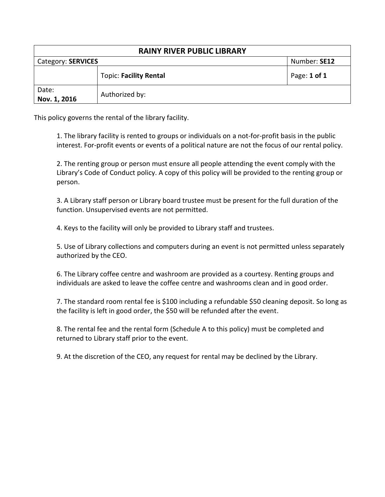| <b>RAINY RIVER PUBLIC LIBRARY</b> |                               |              |  |  |
|-----------------------------------|-------------------------------|--------------|--|--|
| Category: SERVICES                |                               | Number: SE12 |  |  |
|                                   | <b>Topic: Facility Rental</b> | Page: 1 of 1 |  |  |
| Date:<br>Nov. 1, 2016             | Authorized by:                |              |  |  |

This policy governs the rental of the library facility.

1. The library facility is rented to groups or individuals on a not-for-profit basis in the public interest. For-profit events or events of a political nature are not the focus of our rental policy.

2. The renting group or person must ensure all people attending the event comply with the Library's Code of Conduct policy. A copy of this policy will be provided to the renting group or person.

3. A Library staff person or Library board trustee must be present for the full duration of the function. Unsupervised events are not permitted.

4. Keys to the facility will only be provided to Library staff and trustees.

5. Use of Library collections and computers during an event is not permitted unless separately authorized by the CEO.

6. The Library coffee centre and washroom are provided as a courtesy. Renting groups and individuals are asked to leave the coffee centre and washrooms clean and in good order.

7. The standard room rental fee is \$100 including a refundable \$50 cleaning deposit. So long as the facility is left in good order, the \$50 will be refunded after the event.

8. The rental fee and the rental form (Schedule A to this policy) must be completed and returned to Library staff prior to the event.

9. At the discretion of the CEO, any request for rental may be declined by the Library.